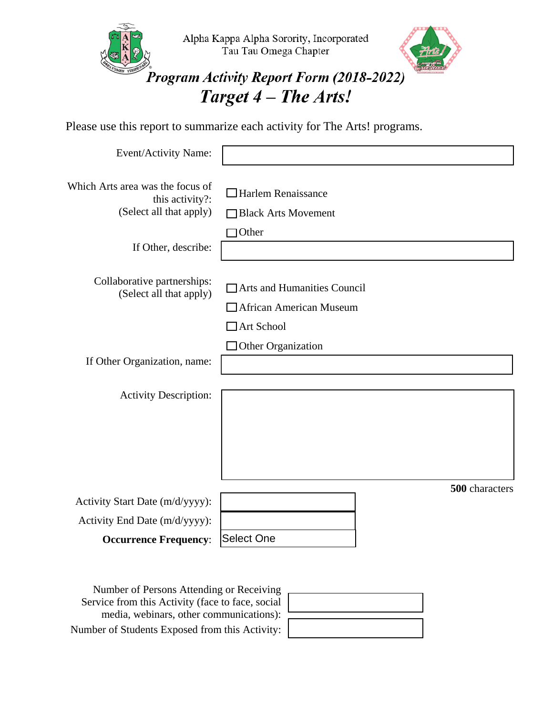

Please use this report to summarize each activity for The Arts! programs.

| Event/Activity Name:                                                           |                                                                                    |
|--------------------------------------------------------------------------------|------------------------------------------------------------------------------------|
| Which Arts area was the focus of<br>this activity?:<br>(Select all that apply) | $\Box$ Harlem Renaissance<br><b>Black Arts Movement</b>                            |
| If Other, describe:                                                            | Other                                                                              |
| Collaborative partnerships:<br>(Select all that apply)                         | Arts and Humanities Council<br><b>African American Museum</b><br>$\Box$ Art School |
| If Other Organization, name:                                                   | Other Organization                                                                 |
| <b>Activity Description:</b>                                                   |                                                                                    |
|                                                                                | 500 characters                                                                     |
| Activity Start Date (m/d/yyyy):<br>Activity End Date (m/d/yyyy):               |                                                                                    |
| <b>Occurrence Frequency:</b>                                                   | <b>Select One</b>                                                                  |

Number of Persons Attending or Receiving Service from this Activity (face to face, social media, webinars, other communications): Number of Students Exposed from this Activity: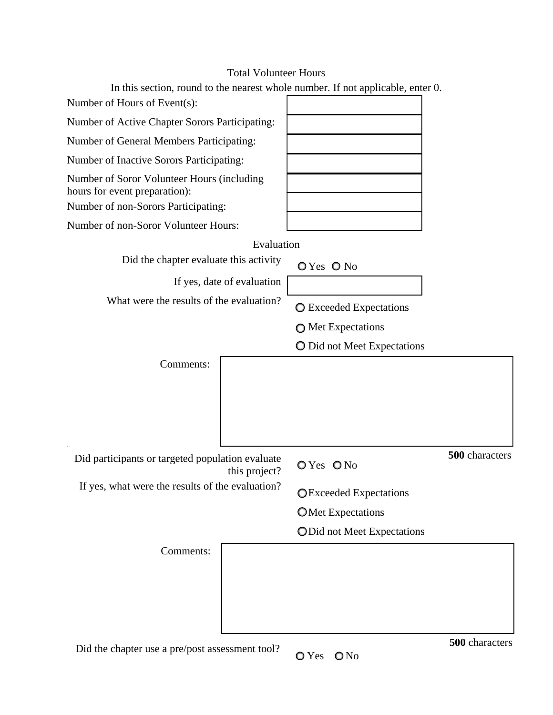## Total Volunteer Hours

| In this section, round to the nearest whole number. If not applicable, enter 0. |                               |                |
|---------------------------------------------------------------------------------|-------------------------------|----------------|
| Number of Hours of Event(s):                                                    |                               |                |
| Number of Active Chapter Sorors Participating:                                  |                               |                |
| Number of General Members Participating:                                        |                               |                |
| Number of Inactive Sorors Participating:                                        |                               |                |
| Number of Soror Volunteer Hours (including<br>hours for event preparation):     |                               |                |
| Number of non-Sorors Participating:                                             |                               |                |
| Number of non-Soror Volunteer Hours:                                            |                               |                |
| Evaluation                                                                      |                               |                |
| Did the chapter evaluate this activity                                          | OYes ONo                      |                |
| If yes, date of evaluation                                                      |                               |                |
| What were the results of the evaluation?                                        | ◯ Exceeded Expectations       |                |
|                                                                                 | ◯ Met Expectations            |                |
|                                                                                 | O Did not Meet Expectations   |                |
| Comments:                                                                       |                               |                |
| Did participants or targeted population evaluate<br>this project?               | OYes ONo                      | 500 characters |
| If yes, what were the results of the evaluation?                                | <b>OExceeded Expectations</b> |                |
|                                                                                 | <b>OMet Expectations</b>      |                |
|                                                                                 | ODid not Meet Expectations    |                |
| Comments:                                                                       |                               |                |
|                                                                                 |                               |                |
| Did the chapter use a pre/post assessment tool?                                 | $\bigcirc$ No<br>O Yes        | 500 characters |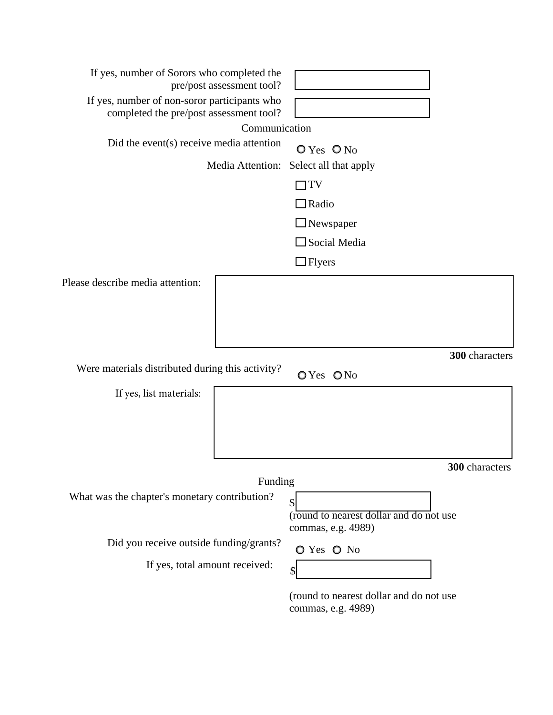| If yes, number of Sorors who completed the<br>pre/post assessment tool?                 |                                                               |  |  |  |
|-----------------------------------------------------------------------------------------|---------------------------------------------------------------|--|--|--|
| If yes, number of non-soror participants who<br>completed the pre/post assessment tool? |                                                               |  |  |  |
| Communication                                                                           |                                                               |  |  |  |
| Did the event(s) receive media attention                                                | $O Yes$ $O No$                                                |  |  |  |
| Media Attention:                                                                        | Select all that apply                                         |  |  |  |
|                                                                                         | TV                                                            |  |  |  |
|                                                                                         | $\Box$ Radio                                                  |  |  |  |
|                                                                                         | $\Box$ Newspaper                                              |  |  |  |
|                                                                                         | $\Box$ Social Media                                           |  |  |  |
|                                                                                         | $\Box$ Flyers                                                 |  |  |  |
| Please describe media attention:                                                        |                                                               |  |  |  |
|                                                                                         |                                                               |  |  |  |
|                                                                                         |                                                               |  |  |  |
|                                                                                         |                                                               |  |  |  |
|                                                                                         | 300 characters                                                |  |  |  |
| Were materials distributed during this activity?                                        | OYes ONo                                                      |  |  |  |
| If yes, list materials:                                                                 |                                                               |  |  |  |
|                                                                                         |                                                               |  |  |  |
|                                                                                         |                                                               |  |  |  |
|                                                                                         |                                                               |  |  |  |
|                                                                                         | <b>300</b> characters                                         |  |  |  |
| Funding                                                                                 |                                                               |  |  |  |
| What was the chapter's monetary contribution?                                           | $\boldsymbol{\mathsf{S}}$                                     |  |  |  |
|                                                                                         | (round to nearest dollar and do not use<br>commas, e.g. 4989) |  |  |  |
| Did you receive outside funding/grants?                                                 |                                                               |  |  |  |
| If yes, total amount received:                                                          | O Yes O No                                                    |  |  |  |
|                                                                                         | \$                                                            |  |  |  |
|                                                                                         | (round to nearest dollar and do not use<br>commas, e.g. 4989) |  |  |  |